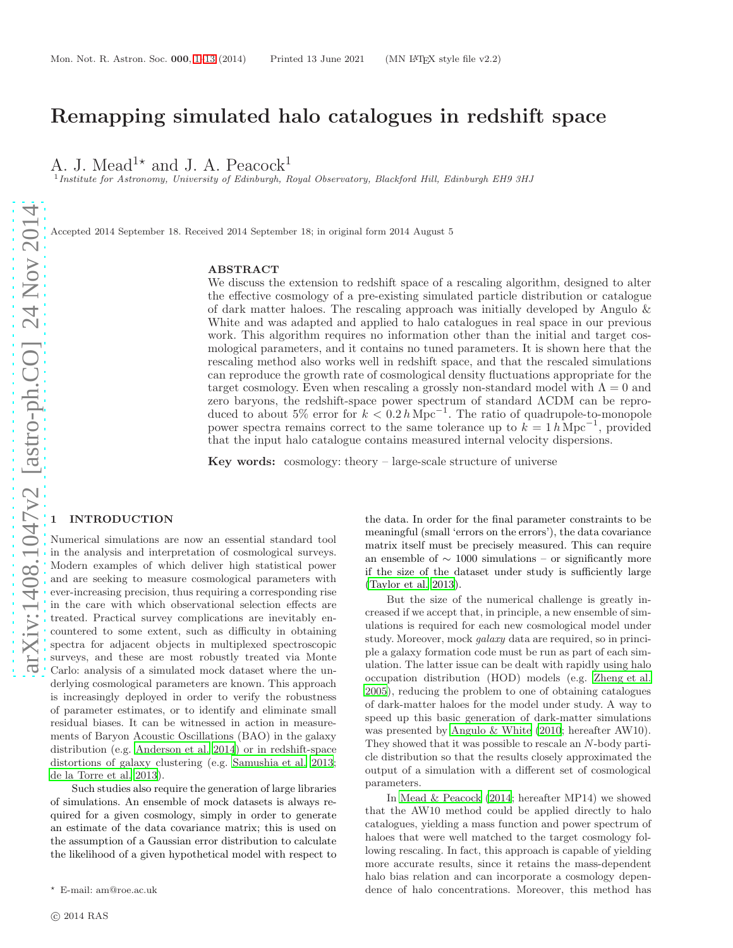# Remapping simulated halo catalogues in redshift space

A. J. Mead<sup>1\*</sup> and J. A. Peacock<sup>1</sup>

<sup>1</sup> Institute for Astronomy, University of Edinburgh, Royal Observatory, Blackford Hill, Edinburgh EH9 3HJ

Accepted 2014 September 18. Received 2014 September 18; in original form 2014 August 5

## ABSTRACT

We discuss the extension to redshift space of a rescaling algorithm, designed to alter the effective cosmology of a pre-existing simulated particle distribution or catalogue of dark matter haloes. The rescaling approach was initially developed by Angulo & White and was adapted and applied to halo catalogues in real space in our previous work. This algorithm requires no information other than the initial and target cosmological parameters, and it contains no tuned parameters. It is shown here that the rescaling method also works well in redshift space, and that the rescaled simulations can reproduce the growth rate of cosmological density fluctuations appropriate for the target cosmology. Even when rescaling a grossly non-standard model with  $\Lambda = 0$  and zero baryons, the redshift-space power spectrum of standard ΛCDM can be reproduced to about  $5\%$  error for  $k < 0.2 h \text{ Mpc}^{-1}$ . The ratio of quadrupole-to-monopole power spectra remains correct to the same tolerance up to  $k = 1 h \text{ Mpc}^{-1}$ , provided that the input halo catalogue contains measured internal velocity dispersions.

**Key words:** cosmology: theory  $-$  large-scale structure of universe

## <span id="page-0-0"></span>**INTRODUCTION**

Numerical simulations are now an essential standard tool in the analysis and interpretation of cosmological surveys. Modern examples of which deliver high statistical power and are seeking to measure cosmological parameters with ever-increasing precision, thus requiring a corresponding rise in the care with which observational selection effects are treated. Practical survey complications are inevitably encountered to some extent, such as difficulty in obtaining spectra for adjacent objects in multiplexed spectroscopic surveys, and these are most robustly treated via Monte Carlo: analysis of a simulated mock dataset where the underlying cosmological parameters are known. This approach is increasingly deployed in order to verify the robustness of parameter estimates, or to identify and eliminate small residual biases. It can be witnessed in action in measurements of Baryon Acoustic Oscillations (BAO) in the galaxy distribution (e.g. [Anderson et al. 2014\)](#page-12-0) or in redshift-space distortions of galaxy clustering (e.g. [Samushia et al. 2013;](#page-13-0) [de la Torre et al. 2013](#page-13-1)).

Such studies also require the generation of large libraries of simulations. An ensemble of mock datasets is always required for a given cosmology, simply in order to generate an estimate of the data covariance matrix; this is used on the assumption of a Gaussian error distribution to calculate the likelihood of a given hypothetical model with respect to

the data. In order for the final parameter constraints to be meaningful (small 'errors on the errors'), the data covariance matrix itself must be precisely measured. This can require an ensemble of  $\sim 1000$  simulations – or significantly more if the size of the dataset under study is sufficiently large [\(Taylor et al. 2013](#page-13-2)).

But the size of the numerical challenge is greatly increased if we accept that, in principle, a new ensemble of simulations is required for each new cosmological model under study. Moreover, mock galaxy data are required, so in principle a galaxy formation code must be run as part of each simulation. The latter issue can be dealt with rapidly using halo occupation distribution (HOD) models (e.g. [Zheng et al.](#page-13-3) [2005](#page-13-3)), reducing the problem to one of obtaining catalogues of dark-matter haloes for the model under study. A way to speed up this basic generation of dark-matter simulations was presented by [Angulo & White \(2010](#page-12-1); hereafter AW10). They showed that it was possible to rescale an N-body particle distribution so that the results closely approximated the output of a simulation with a different set of cosmological parameters.

In [Mead & Peacock \(2014](#page-13-4); hereafter MP14) we showed that the AW10 method could be applied directly to halo catalogues, yielding a mass function and power spectrum of haloes that were well matched to the target cosmology following rescaling. In fact, this approach is capable of yielding more accurate results, since it retains the mass-dependent halo bias relation and can incorporate a cosmology dependence of halo concentrations. Moreover, this method has

<sup>⋆</sup> E-mail: am@roe.ac.uk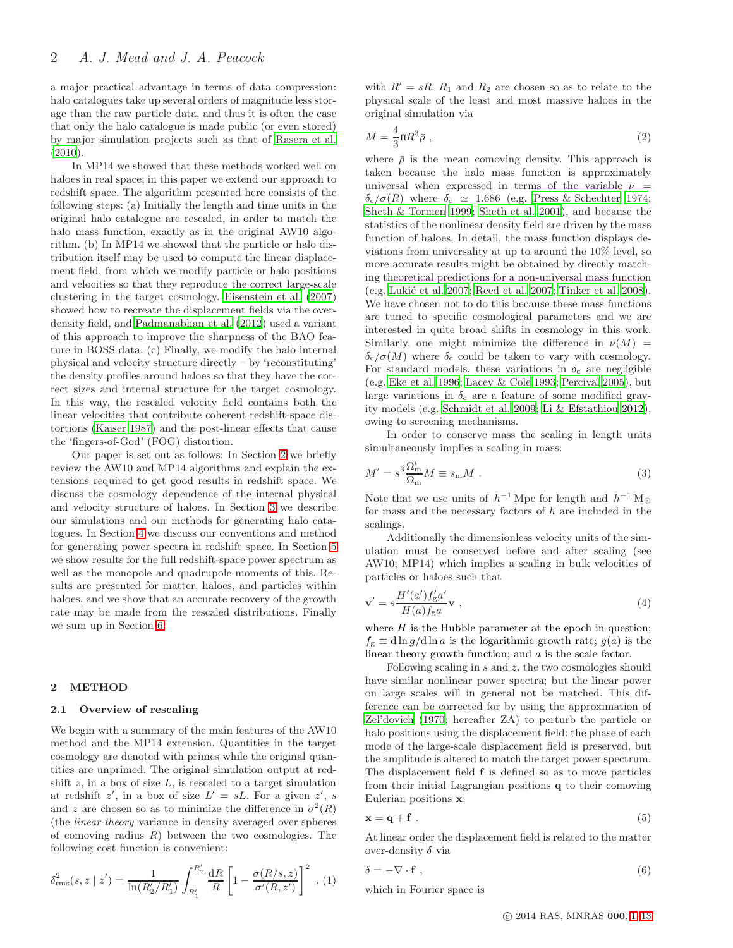a major practical advantage in terms of data compression: halo catalogues take up several orders of magnitude less storage than the raw particle data, and thus it is often the case that only the halo catalogue is made public (or even stored) by major simulation projects such as that of [Rasera et al.](#page-13-5) [\(2010](#page-13-5)).

In MP14 we showed that these methods worked well on haloes in real space; in this paper we extend our approach to redshift space. The algorithm presented here consists of the following steps: (a) Initially the length and time units in the original halo catalogue are rescaled, in order to match the halo mass function, exactly as in the original AW10 algorithm. (b) In MP14 we showed that the particle or halo distribution itself may be used to compute the linear displacement field, from which we modify particle or halo positions and velocities so that they reproduce the correct large-scale clustering in the target cosmology. [Eisenstein et al. \(2007](#page-13-6)) showed how to recreate the displacement fields via the overdensity field, and [Padmanabhan et al. \(2012\)](#page-13-7) used a variant of this approach to improve the sharpness of the BAO feature in BOSS data. (c) Finally, we modify the halo internal physical and velocity structure directly – by 'reconstituting' the density profiles around haloes so that they have the correct sizes and internal structure for the target cosmology. In this way, the rescaled velocity field contains both the linear velocities that contribute coherent redshift-space distortions [\(Kaiser 1987\)](#page-13-8) and the post-linear effects that cause the 'fingers-of-God' (FOG) distortion.

Our paper is set out as follows: In Section [2](#page-1-0) we briefly review the AW10 and MP14 algorithms and explain the extensions required to get good results in redshift space. We discuss the cosmology dependence of the internal physical and velocity structure of haloes. In Section [3](#page-4-0) we describe our simulations and our methods for generating halo catalogues. In Section [4](#page-5-0) we discuss our conventions and method for generating power spectra in redshift space. In Section [5](#page-6-0) we show results for the full redshift-space power spectrum as well as the monopole and quadrupole moments of this. Results are presented for matter, haloes, and particles within haloes, and we show that an accurate recovery of the growth rate may be made from the rescaled distributions. Finally we sum up in Section [6.](#page-10-0)

## <span id="page-1-0"></span>2 METHOD

#### 2.1 Overview of rescaling

We begin with a summary of the main features of the AW10 method and the MP14 extension. Quantities in the target cosmology are denoted with primes while the original quantities are unprimed. The original simulation output at redshift  $z$ , in a box of size  $L$ , is rescaled to a target simulation at redshift  $z'$ , in a box of size  $L' = sL$ . For a given  $z'$ , s and z are chosen so as to minimize the difference in  $\sigma^2(R)$ (the linear-theory variance in density averaged over spheres of comoving radius  $R$ ) between the two cosmologies. The following cost function is convenient:

$$
\delta_{\rm rms}^2(s, z \mid z') = \frac{1}{\ln(R_2'/R_1')} \int_{R_1'}^{R_2'} \frac{dR}{R} \left[1 - \frac{\sigma(R/s, z)}{\sigma'(R, z')}\right]^2 , (1)
$$

with  $R' = sR$ .  $R_1$  and  $R_2$  are chosen so as to relate to the physical scale of the least and most massive haloes in the original simulation via

$$
M = \frac{4}{3}\pi R^3 \bar{\rho} \,,\tag{2}
$$

where  $\bar{\rho}$  is the mean comoving density. This approach is taken because the halo mass function is approximately universal when expressed in terms of the variable  $\nu =$  $\delta_c/\sigma(R)$  where  $\delta_c \simeq 1.686$  (e.g. [Press & Schechter 1974](#page-13-9); [Sheth & Tormen 1999](#page-13-10); [Sheth et al. 2001\)](#page-13-11), and because the statistics of the nonlinear density field are driven by the mass function of haloes. In detail, the mass function displays deviations from universality at up to around the 10% level, so more accurate results might be obtained by directly matching theoretical predictions for a non-universal mass function (e.g. Lukić et al. 2007; [Reed et al. 2007;](#page-13-13) [Tinker et al. 2008](#page-13-14)). We have chosen not to do this because these mass functions are tuned to specific cosmological parameters and we are interested in quite broad shifts in cosmology in this work. Similarly, one might minimize the difference in  $\nu(M)$  =  $\delta_{\rm c}/\sigma(M)$  where  $\delta_{\rm c}$  could be taken to vary with cosmology. For standard models, these variations in  $\delta_c$  are negligible (e.g. [Eke et al. 1996](#page-13-15); [Lacey & Cole 1993](#page-13-16); [Percival 2005\)](#page-13-17), but large variations in  $\delta_c$  are a feature of some modified gravity models (e.g. [Schmidt et al. 2009;](#page-13-18) [Li & Efstathiou 2012](#page-13-19)), owing to screening mechanisms.

In order to conserve mass the scaling in length units simultaneously implies a scaling in mass:

$$
M' = s^3 \frac{\Omega'_{\rm m}}{\Omega_{\rm m}} M \equiv s_{\rm m} M . \tag{3}
$$

Note that we use units of  $h^{-1}$  Mpc for length and  $h^{-1}$  M<sub>☉</sub> for mass and the necessary factors of  $h$  are included in the scalings.

Additionally the dimensionless velocity units of the simulation must be conserved before and after scaling (see AW10; MP14) which implies a scaling in bulk velocities of particles or haloes such that

<span id="page-1-1"></span>
$$
\mathbf{v}' = s \frac{H'(a')f'_g a'}{H(a)f_g a} \mathbf{v} ,
$$
\n(4)

where  $H$  is the Hubble parameter at the epoch in question;  $f<sub>g</sub> \equiv d \ln q / d \ln a$  is the logarithmic growth rate;  $q(a)$  is the linear theory growth function; and a is the scale factor.

Following scaling in  $s$  and  $z$ , the two cosmologies should have similar nonlinear power spectra; but the linear power on large scales will in general not be matched. This difference can be corrected for by using the approximation of [Zel'dovich \(1970;](#page-13-20) hereafter ZA) to perturb the particle or halo positions using the displacement field: the phase of each mode of the large-scale displacement field is preserved, but the amplitude is altered to match the target power spectrum. The displacement field f is defined so as to move particles from their initial Lagrangian positions q to their comoving Eulerian positions x:

$$
\mathbf{x} = \mathbf{q} + \mathbf{f} \tag{5}
$$

At linear order the displacement field is related to the matter over-density  $\delta$  via

$$
\delta = -\nabla \cdot \mathbf{f} \tag{6}
$$

which in Fourier space is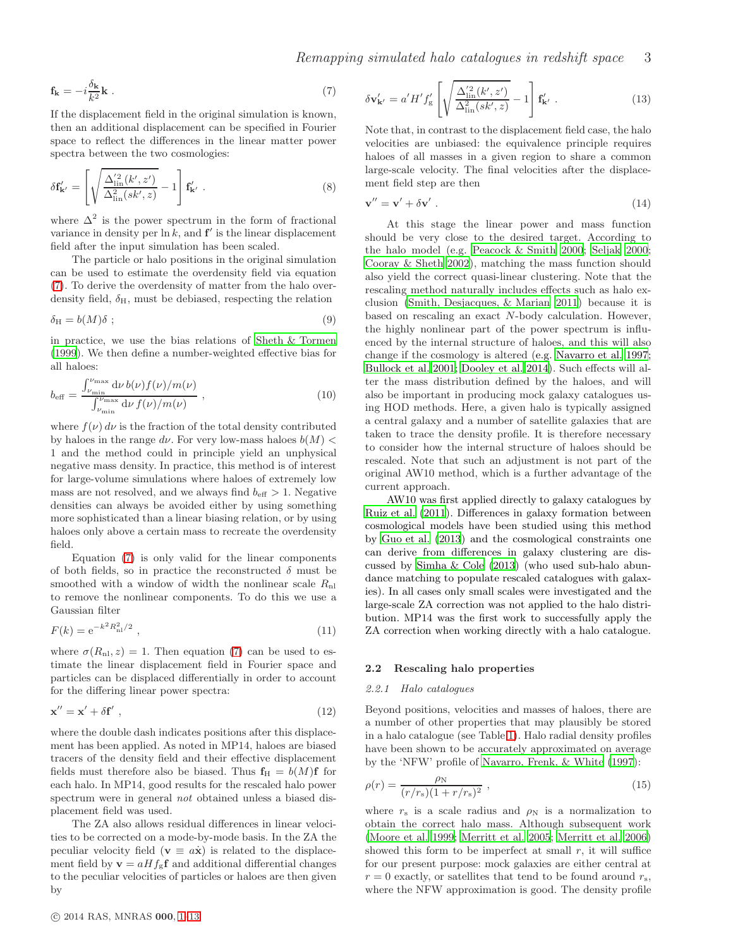<span id="page-2-0"></span>
$$
\mathbf{f}_{\mathbf{k}} = -i\frac{\delta_{\mathbf{k}}}{k^2}\mathbf{k} \tag{7}
$$

If the displacement field in the original simulation is known, then an additional displacement can be specified in Fourier space to reflect the differences in the linear matter power spectra between the two cosmologies:

<span id="page-2-1"></span>
$$
\delta \mathbf{f}_{\mathbf{k}'}' = \left[ \sqrt{\frac{\Delta_{\text{lin}}'^2(k', z')}{\Delta_{\text{lin}}^2(sk', z)}} - 1 \right] \mathbf{f}_{\mathbf{k}'}' \ . \tag{8}
$$

where  $\Delta^2$  is the power spectrum in the form of fractional variance in density per  $\ln k$ , and  $f'$  is the linear displacement field after the input simulation has been scaled.

The particle or halo positions in the original simulation can be used to estimate the overdensity field via equation [\(7\)](#page-2-0). To derive the overdensity of matter from the halo overdensity field,  $\delta_{\rm H}$ , must be debiased, respecting the relation

$$
\delta_{\rm H} = b(M)\delta \; ; \tag{9}
$$

in practice, we use the bias relations of [Sheth & Tormen](#page-13-10) [\(1999](#page-13-10)). We then define a number-weighted effective bias for all haloes:

$$
b_{\text{eff}} = \frac{\int_{\nu_{\text{min}}}^{\nu_{\text{max}}} \mathrm{d}\nu \, b(\nu) f(\nu) / m(\nu)}{\int_{\nu_{\text{min}}}^{\nu_{\text{max}}} \mathrm{d}\nu \, f(\nu) / m(\nu)},\tag{10}
$$

where  $f(\nu) d\nu$  is the fraction of the total density contributed by haloes in the range  $d\nu$ . For very low-mass haloes  $b(M)$  < 1 and the method could in principle yield an unphysical negative mass density. In practice, this method is of interest for large-volume simulations where haloes of extremely low mass are not resolved, and we always find  $b_{\text{eff}} > 1$ . Negative densities can always be avoided either by using something more sophisticated than a linear biasing relation, or by using haloes only above a certain mass to recreate the overdensity field.

Equation [\(7\)](#page-2-0) is only valid for the linear components of both fields, so in practice the reconstructed  $\delta$  must be smoothed with a window of width the nonlinear scale  $R_{nl}$ to remove the nonlinear components. To do this we use a Gaussian filter

$$
F(k) = e^{-k^2 R_{\rm nl}^2 / 2} \tag{11}
$$

where  $\sigma(R_{\rm nl}, z) = 1$ . Then equation [\(7\)](#page-2-0) can be used to estimate the linear displacement field in Fourier space and particles can be displaced differentially in order to account for the differing linear power spectra:

$$
\mathbf{x}'' = \mathbf{x}' + \delta \mathbf{f}' \tag{12}
$$

where the double dash indicates positions after this displacement has been applied. As noted in MP14, haloes are biased tracers of the density field and their effective displacement fields must therefore also be biased. Thus  $f_H = b(M)f$  for each halo. In MP14, good results for the rescaled halo power spectrum were in general *not* obtained unless a biased displacement field was used.

The ZA also allows residual differences in linear velocities to be corrected on a mode-by-mode basis. In the ZA the peculiar velocity field ( $\mathbf{v} \equiv a\dot{\mathbf{x}}$ ) is related to the displacement field by  $\mathbf{v} = aHf_{\rm g}\mathbf{f}$  and additional differential changes to the peculiar velocities of particles or haloes are then given by

<span id="page-2-2"></span>
$$
\delta \mathbf{v}_{\mathbf{k}'}' = a'H'f'_{\rm g} \left[ \sqrt{\frac{\Delta_{\rm lin}'^2(k',z')}{\Delta_{\rm lin}^2(sk',z)}} - 1 \right] \mathbf{f}_{\mathbf{k}'}' \ . \tag{13}
$$

Note that, in contrast to the displacement field case, the halo velocities are unbiased: the equivalence principle requires haloes of all masses in a given region to share a common large-scale velocity. The final velocities after the displacement field step are then

$$
\mathbf{v}'' = \mathbf{v}' + \delta \mathbf{v}' \tag{14}
$$

At this stage the linear power and mass function should be very close to the desired target. According to the halo model (e.g. [Peacock & Smith 2000](#page-13-21); [Seljak 2000](#page-13-22); [Cooray & Sheth 2002](#page-12-2)), matching the mass function should also yield the correct quasi-linear clustering. Note that the rescaling method naturally includes effects such as halo exclusion [\(Smith, Desjacques, & Marian 2011\)](#page-13-23) because it is based on rescaling an exact N-body calculation. However, the highly nonlinear part of the power spectrum is influenced by the internal structure of haloes, and this will also change if the cosmology is altered (e.g. [Navarro et al. 1997](#page-13-24); [Bullock et al. 2001](#page-12-3); [Dooley et al. 2014](#page-13-25)). Such effects will alter the mass distribution defined by the haloes, and will also be important in producing mock galaxy catalogues using HOD methods. Here, a given halo is typically assigned a central galaxy and a number of satellite galaxies that are taken to trace the density profile. It is therefore necessary to consider how the internal structure of haloes should be rescaled. Note that such an adjustment is not part of the original AW10 method, which is a further advantage of the current approach.

AW10 was first applied directly to galaxy catalogues by [Ruiz et al. \(2011](#page-13-26)). Differences in galaxy formation between cosmological models have been studied using this method by [Guo et al. \(2013](#page-13-27)) and the cosmological constraints one can derive from differences in galaxy clustering are discussed by [Simha & Cole \(2013](#page-13-28)) (who used sub-halo abundance matching to populate rescaled catalogues with galaxies). In all cases only small scales were investigated and the large-scale ZA correction was not applied to the halo distribution. MP14 was the first work to successfully apply the ZA correction when working directly with a halo catalogue.

## 2.2 Rescaling halo properties

# 2.2.1 Halo catalogues

Beyond positions, velocities and masses of haloes, there are a number of other properties that may plausibly be stored in a halo catalogue (see Table [1\)](#page-4-1). Halo radial density profiles have been shown to be accurately approximated on average by the 'NFW' profile of [Navarro, Frenk, & White \(1997](#page-13-24)):

<span id="page-2-3"></span>
$$
\rho(r) = \frac{\rho_{\rm N}}{(r/r_{\rm s})(1+r/r_{\rm s})^2} \,, \tag{15}
$$

where  $r_s$  is a scale radius and  $\rho_N$  is a normalization to obtain the correct halo mass. Although subsequent work [\(Moore et al. 1999](#page-13-29); [Merritt et al. 2005](#page-13-30); [Merritt et al. 2006](#page-13-31)) showed this form to be imperfect at small  $r$ , it will suffice for our present purpose: mock galaxies are either central at  $r = 0$  exactly, or satellites that tend to be found around  $r_s$ , where the NFW approximation is good. The density profile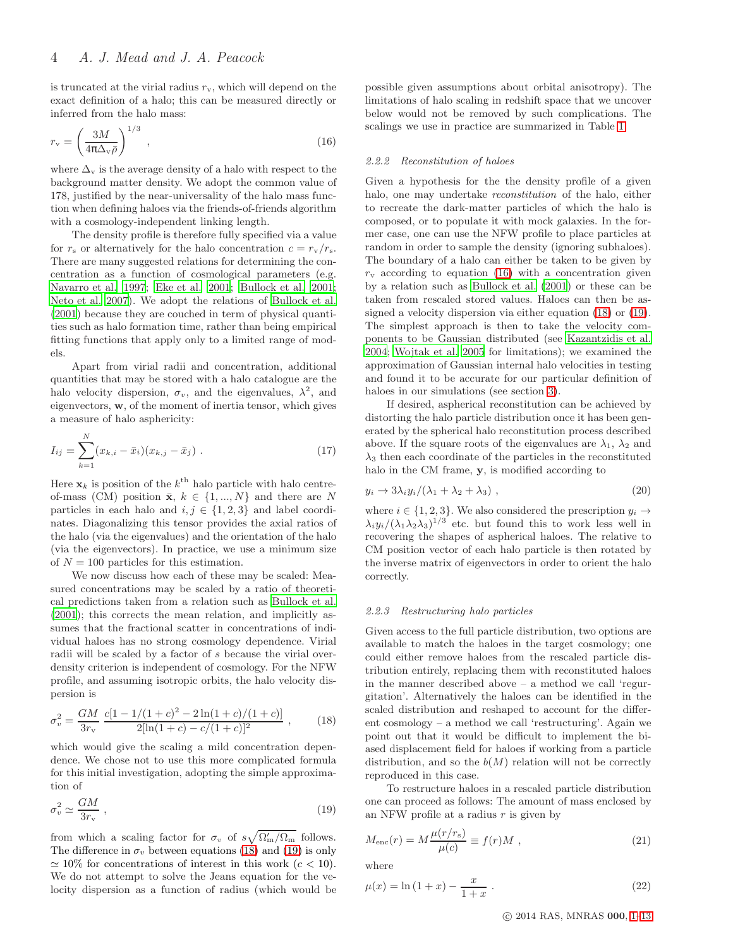is truncated at the virial radius  $r_{v}$ , which will depend on the exact definition of a halo; this can be measured directly or inferred from the halo mass:

<span id="page-3-2"></span>
$$
r_{\rm v} = \left(\frac{3M}{4\pi\Delta_{\rm v}\bar{\rho}}\right)^{1/3},\tag{16}
$$

where  $\Delta_{\rm v}$  is the average density of a halo with respect to the background matter density. We adopt the common value of 178, justified by the near-universality of the halo mass function when defining haloes via the friends-of-friends algorithm with a cosmology-independent linking length.

The density profile is therefore fully specified via a value for  $r_s$  or alternatively for the halo concentration  $c = r_v/r_s$ . There are many suggested relations for determining the concentration as a function of cosmological parameters (e.g. [Navarro et al. 1997;](#page-13-24) [Eke et al. 2001](#page-13-32); [Bullock et al. 2001;](#page-12-3) [Neto et al. 2007](#page-13-33)). We adopt the relations of [Bullock et al.](#page-12-3) [\(2001](#page-12-3)) because they are couched in term of physical quantities such as halo formation time, rather than being empirical fitting functions that apply only to a limited range of models.

Apart from virial radii and concentration, additional quantities that may be stored with a halo catalogue are the halo velocity dispersion,  $\sigma_v$ , and the eigenvalues,  $\lambda^2$ , and eigenvectors, w, of the moment of inertia tensor, which gives a measure of halo asphericity:

$$
I_{ij} = \sum_{k=1}^{N} (x_{k,i} - \bar{x}_i)(x_{k,j} - \bar{x}_j) \tag{17}
$$

Here  $\mathbf{x}_k$  is position of the  $k^{\text{th}}$  halo particle with halo centreof-mass (CM) position  $\bar{\mathbf{x}}, k \in \{1, ..., N\}$  and there are N particles in each halo and  $i, j \in \{1, 2, 3\}$  and label coordinates. Diagonalizing this tensor provides the axial ratios of the halo (via the eigenvalues) and the orientation of the halo (via the eigenvectors). In practice, we use a minimum size of  $N = 100$  particles for this estimation.

We now discuss how each of these may be scaled: Measured concentrations may be scaled by a ratio of theoretical predictions taken from a relation such as [Bullock et al.](#page-12-3) [\(2001](#page-12-3)); this corrects the mean relation, and implicitly assumes that the fractional scatter in concentrations of individual haloes has no strong cosmology dependence. Virial radii will be scaled by a factor of s because the virial overdensity criterion is independent of cosmology. For the NFW profile, and assuming isotropic orbits, the halo velocity dispersion is

<span id="page-3-0"></span>
$$
\sigma_v^2 = \frac{GM}{3r_v} \frac{c[1 - 1/(1 + c)^2 - 2\ln(1 + c)/(1 + c)]}{2[\ln(1 + c) - c/(1 + c)]^2}, \qquad (18)
$$

which would give the scaling a mild concentration dependence. We chose not to use this more complicated formula for this initial investigation, adopting the simple approximation of

<span id="page-3-1"></span>
$$
\sigma_v^2 \simeq \frac{GM}{3r_v} \,, \tag{19}
$$

from which a scaling factor for  $\sigma_v$  of  $s\sqrt{\Omega'_m/\Omega_m}$  follows. The difference in  $\sigma_v$  between equations [\(18\)](#page-3-0) and [\(19\)](#page-3-1) is only  $\simeq$  10% for concentrations of interest in this work ( $c$  < 10). We do not attempt to solve the Jeans equation for the velocity dispersion as a function of radius (which would be possible given assumptions about orbital anisotropy). The limitations of halo scaling in redshift space that we uncover below would not be removed by such complications. The scalings we use in practice are summarized in Table [1.](#page-4-1)

## 2.2.2 Reconstitution of haloes

Given a hypothesis for the the density profile of a given halo, one may undertake *reconstitution* of the halo, either to recreate the dark-matter particles of which the halo is composed, or to populate it with mock galaxies. In the former case, one can use the NFW profile to place particles at random in order to sample the density (ignoring subhaloes). The boundary of a halo can either be taken to be given by  $r_{\rm v}$  according to equation [\(16\)](#page-3-2) with a concentration given by a relation such as [Bullock et al. \(2001\)](#page-12-3) or these can be taken from rescaled stored values. Haloes can then be assigned a velocity dispersion via either equation [\(18\)](#page-3-0) or [\(19\)](#page-3-1). The simplest approach is then to take the velocity components to be Gaussian distributed (see [Kazantzidis et al.](#page-13-34) [2004](#page-13-34); [Wojtak et al. 2005](#page-13-35) for limitations); we examined the approximation of Gaussian internal halo velocities in testing and found it to be accurate for our particular definition of haloes in our simulations (see section [3\)](#page-4-0).

If desired, aspherical reconstitution can be achieved by distorting the halo particle distribution once it has been generated by the spherical halo reconstitution process described above. If the square roots of the eigenvalues are  $\lambda_1$ ,  $\lambda_2$  and  $\lambda_3$  then each coordinate of the particles in the reconstituted halo in the CM frame, y, is modified according to

$$
y_i \to 3\lambda_i y_i/(\lambda_1 + \lambda_2 + \lambda_3) , \qquad (20)
$$

where  $i \in \{1, 2, 3\}$ . We also considered the prescription  $y_i \rightarrow$  $\lambda_i y_i/(\lambda_1 \lambda_2 \lambda_3)^{1/3}$  etc. but found this to work less well in recovering the shapes of aspherical haloes. The relative to CM position vector of each halo particle is then rotated by the inverse matrix of eigenvectors in order to orient the halo correctly.

## <span id="page-3-3"></span>2.2.3 Restructuring halo particles

Given access to the full particle distribution, two options are available to match the haloes in the target cosmology; one could either remove haloes from the rescaled particle distribution entirely, replacing them with reconstituted haloes in the manner described above – a method we call 'regurgitation'. Alternatively the haloes can be identified in the scaled distribution and reshaped to account for the different cosmology – a method we call 'restructuring'. Again we point out that it would be difficult to implement the biased displacement field for haloes if working from a particle distribution, and so the  $b(M)$  relation will not be correctly reproduced in this case.

To restructure haloes in a rescaled particle distribution one can proceed as follows: The amount of mass enclosed by an NFW profile at a radius  $r$  is given by

$$
M_{\rm enc}(r) = M \frac{\mu(r/r_{\rm s})}{\mu(c)} \equiv f(r)M \;, \tag{21}
$$

where

$$
\mu(x) = \ln(1+x) - \frac{x}{1+x} \,. \tag{22}
$$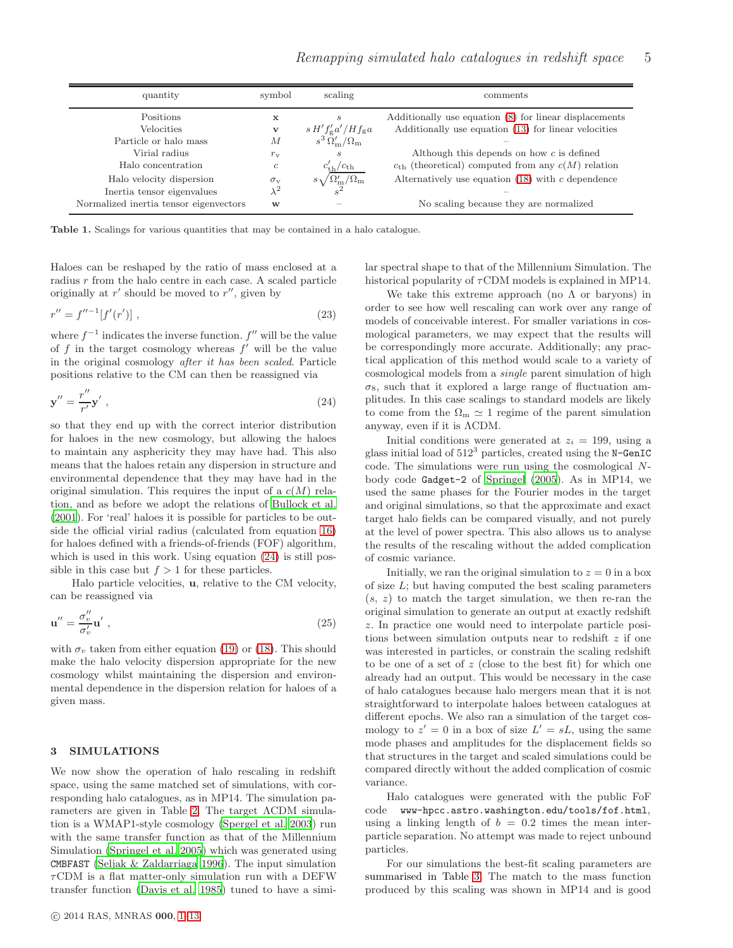<span id="page-4-1"></span>

| quantity                               | symbol           | scaling                                      | comments                                                        |  |  |  |
|----------------------------------------|------------------|----------------------------------------------|-----------------------------------------------------------------|--|--|--|
| <b>Positions</b>                       | x                | $\boldsymbol{s}$                             | Additionally use equation (8) for linear displacements          |  |  |  |
| Velocities                             | v                | $s H' f'_{\rm g} a'/H f_{\rm g} a$           | Additionally use equation (13) for linear velocities            |  |  |  |
| Particle or halo mass                  | М                | $s^3 \Omega_{\rm m}^{\prime}/\Omega_{\rm m}$ |                                                                 |  |  |  |
| Virial radius                          | $r_{\rm v}$      | $\boldsymbol{s}$                             | Although this depends on how $c$ is defined                     |  |  |  |
| Halo concentration                     | с                | $c'_{\text{th}}/c_{\text{th}}$               | $c_{\text{th}}$ (theoretical) computed from any $c(M)$ relation |  |  |  |
| Halo velocity dispersion               | $\sigma_{\rm v}$ | $s\sqrt{\Omega'_{\rm m}/\Omega_{\rm m}}$     | Alternatively use equation $(18)$ with c dependence             |  |  |  |
| Inertia tensor eigenvalues             | $\lambda^2$      |                                              |                                                                 |  |  |  |
| Normalized inertia tensor eigenvectors | W                |                                              | No scaling because they are normalized                          |  |  |  |

Table 1. Scalings for various quantities that may be contained in a halo catalogue.

Haloes can be reshaped by the ratio of mass enclosed at a radius r from the halo centre in each case. A scaled particle originally at  $r'$  should be moved to  $r''$ , given by

$$
r'' = f''^{-1}[f'(r')] \tag{23}
$$

where  $f^{-1}$  indicates the inverse function.  $f''$  will be the value of  $f$  in the target cosmology whereas  $f'$  will be the value in the original cosmology after it has been scaled. Particle positions relative to the CM can then be reassigned via

<span id="page-4-2"></span>
$$
\mathbf{y}'' = \frac{r''}{r'} \mathbf{y}' \tag{24}
$$

so that they end up with the correct interior distribution for haloes in the new cosmology, but allowing the haloes to maintain any asphericity they may have had. This also means that the haloes retain any dispersion in structure and environmental dependence that they may have had in the original simulation. This requires the input of a  $c(M)$  relation, and as before we adopt the relations of [Bullock et al.](#page-12-3) [\(2001](#page-12-3)). For 'real' haloes it is possible for particles to be outside the official virial radius (calculated from equation [16\)](#page-3-2) for haloes defined with a friends-of-friends (FOF) algorithm, which is used in this work. Using equation  $(24)$  is still possible in this case but  $f > 1$  for these particles.

Halo particle velocities, u, relative to the CM velocity, can be reassigned via

$$
\mathbf{u}'' = \frac{\sigma_v''}{\sigma_v'} \mathbf{u}' \,, \tag{25}
$$

with  $\sigma_v$  taken from either equation [\(19\)](#page-3-1) or [\(18\)](#page-3-0). This should make the halo velocity dispersion appropriate for the new cosmology whilst maintaining the dispersion and environmental dependence in the dispersion relation for haloes of a given mass.

## <span id="page-4-0"></span>3 SIMULATIONS

We now show the operation of halo rescaling in redshift space, using the same matched set of simulations, with corresponding halo catalogues, as in MP14. The simulation parameters are given in Table [2.](#page-5-1) The target ΛCDM simulation is a WMAP1-style cosmology [\(Spergel et al. 2003\)](#page-13-36) run with the same transfer function as that of the Millennium Simulation [\(Springel et al. 2005](#page-13-37)) which was generated using CMBFAST [\(Seljak & Zaldarriaga 1996](#page-13-38)). The input simulation  $\tau$ CDM is a flat matter-only simulation run with a DEFW transfer function [\(Davis et al. 1985](#page-12-4)) tuned to have a similar spectral shape to that of the Millennium Simulation. The historical popularity of  $\tau$ CDM models is explained in MP14.

We take this extreme approach (no  $\Lambda$  or baryons) in order to see how well rescaling can work over any range of models of conceivable interest. For smaller variations in cosmological parameters, we may expect that the results will be correspondingly more accurate. Additionally; any practical application of this method would scale to a variety of cosmological models from a single parent simulation of high  $\sigma_8$ , such that it explored a large range of fluctuation amplitudes. In this case scalings to standard models are likely to come from the  $\Omega_m \simeq 1$  regime of the parent simulation anyway, even if it is ΛCDM.

Initial conditions were generated at  $z_i = 199$ , using a glass initial load of  $512<sup>3</sup>$  particles, created using the N-GenIC code. The simulations were run using the cosmological Nbody code Gadget-2 of [Springel \(2005](#page-13-39)). As in MP14, we used the same phases for the Fourier modes in the target and original simulations, so that the approximate and exact target halo fields can be compared visually, and not purely at the level of power spectra. This also allows us to analyse the results of the rescaling without the added complication of cosmic variance.

Initially, we ran the original simulation to  $z = 0$  in a box of size  $L$ ; but having computed the best scaling parameters  $(s, z)$  to match the target simulation, we then re-ran the original simulation to generate an output at exactly redshift z. In practice one would need to interpolate particle positions between simulation outputs near to redshift  $z$  if one was interested in particles, or constrain the scaling redshift to be one of a set of  $z$  (close to the best fit) for which one already had an output. This would be necessary in the case of halo catalogues because halo mergers mean that it is not straightforward to interpolate haloes between catalogues at different epochs. We also ran a simulation of the target cosmology to  $z' = 0$  in a box of size  $L' = sL$ , using the same mode phases and amplitudes for the displacement fields so that structures in the target and scaled simulations could be compared directly without the added complication of cosmic variance.

Halo catalogues were generated with the public FoF code www-hpcc.astro.washington.edu/tools/fof.html, using a linking length of  $b = 0.2$  times the mean interparticle separation. No attempt was made to reject unbound particles.

For our simulations the best-fit scaling parameters are summarised in Table [3.](#page-5-2) The match to the mass function produced by this scaling was shown in MP14 and is good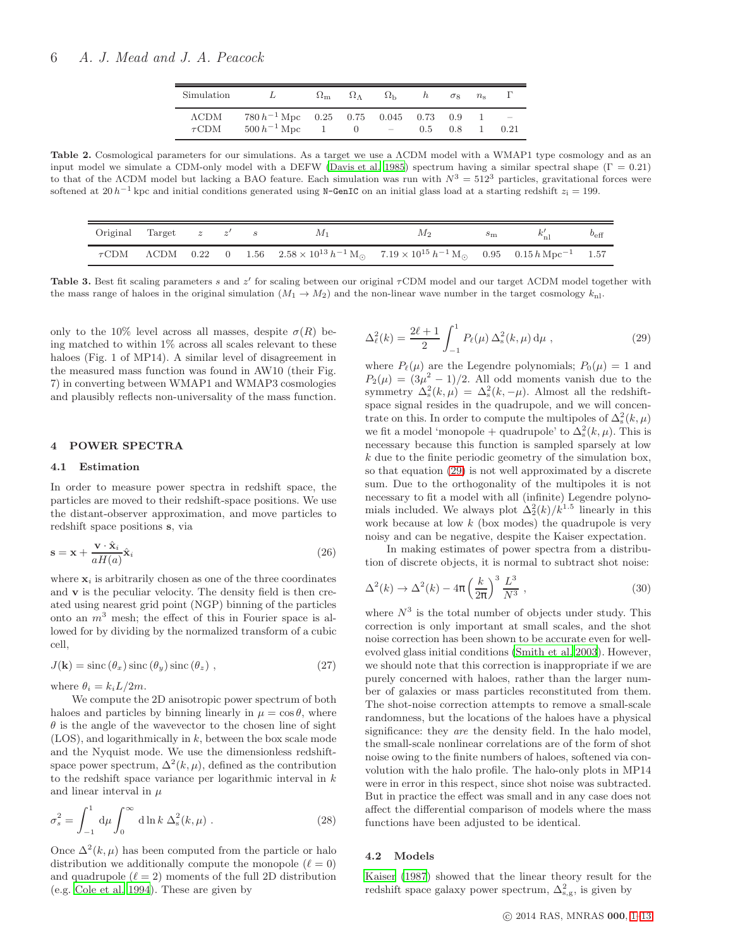| Simulation                  |                                                           | $\Omega_{\rm m}$ | $\Omega_{\Lambda}$                       | $\Omega_{\rm h}$  | h   | $\sigma$ <sup>8</sup> | $n_{\rm s}$ |                                  |
|-----------------------------|-----------------------------------------------------------|------------------|------------------------------------------|-------------------|-----|-----------------------|-------------|----------------------------------|
| $\Lambda$ CDM<br>$\tau$ CDM | $780 h^{-1}$ Mpc 0.25 0.75 0.045 0.73<br>$500 h^{-1}$ Mpc |                  | $\begin{array}{ccc} & & 0 & \end{array}$ | $\sim$ 100 $\sim$ | 0.5 | 0.9<br>0.8            |             | $\overline{\phantom{m}}$<br>0.21 |

<span id="page-5-1"></span>Table 2. Cosmological parameters for our simulations. As a target we use a ΛCDM model with a WMAP1 type cosmology and as an input model we simulate a CDM-only model with a DEFW [\(Davis et](#page-12-4) al. [1985](#page-12-4)) spectrum having a similar spectral shape  $(\Gamma = 0.21)$ to that of the ΛCDM model but lacking a BAO feature. Each simulation was run with  $N^3 = 512^3$  particles, gravitational forces were softened at 20 h<sup>-1</sup> kpc and initial conditions generated using N-GenIC on an initial glass load at a starting redshift  $z_i = 199$ .

<span id="page-5-2"></span>

| Original Target $z \, z' \, s$ |  |  | M 1 | M2                                                                                                                                                      | $s_{\rm m}$ | $b_{\text{eff}}$ |
|--------------------------------|--|--|-----|---------------------------------------------------------------------------------------------------------------------------------------------------------|-------------|------------------|
|                                |  |  |     | $\tau$ CDM $\Lambda$ CDM 0.22 0 1.56 $2.58 \times 10^{13} h^{-1} M_{\odot}$ $7.19 \times 10^{15} h^{-1} M_{\odot}$ 0.95 0.15 $h$ Mpc <sup>-1</sup> 1.57 |             |                  |

Table 3. Best fit scaling parameters s and z' for scaling between our original  $\tau$ CDM model and our target ΛCDM model together with the mass range of haloes in the original simulation  $(M_1 \rightarrow M_2)$  and the non-linear wave number in the target cosmology  $k_{\text{nl}}$ .

only to the 10% level across all masses, despite  $\sigma(R)$  being matched to within 1% across all scales relevant to these haloes (Fig. 1 of MP14). A similar level of disagreement in the measured mass function was found in AW10 (their Fig. 7) in converting between WMAP1 and WMAP3 cosmologies and plausibly reflects non-universality of the mass function.

## <span id="page-5-0"></span>4 POWER SPECTRA

#### 4.1 Estimation

In order to measure power spectra in redshift space, the particles are moved to their redshift-space positions. We use the distant-observer approximation, and move particles to redshift space positions s, via

$$
\mathbf{s} = \mathbf{x} + \frac{\mathbf{v} \cdot \hat{\mathbf{x}}_i}{aH(a)} \hat{\mathbf{x}}_i
$$
 (26)

where  $x_i$  is arbitrarily chosen as one of the three coordinates and  $\bf{v}$  is the peculiar velocity. The density field is then created using nearest grid point (NGP) binning of the particles onto an  $m<sup>3</sup>$  mesh; the effect of this in Fourier space is allowed for by dividing by the normalized transform of a cubic cell,

$$
J(\mathbf{k}) = \text{sinc}(\theta_x)\,\text{sinc}(\theta_y)\,\text{sinc}(\theta_z) \tag{27}
$$

where  $\theta_i = k_i L/2m$ .

We compute the 2D anisotropic power spectrum of both haloes and particles by binning linearly in  $\mu = \cos \theta$ , where  $\theta$  is the angle of the wavevector to the chosen line of sight  $(LOS)$ , and logarithmically in k, between the box scale mode and the Nyquist mode. We use the dimensionless redshiftspace power spectrum,  $\Delta^2(k,\mu)$ , defined as the contribution to the redshift space variance per logarithmic interval in  $k$ and linear interval in  $\mu$ 

$$
\sigma_s^2 = \int_{-1}^1 \mathrm{d}\mu \int_0^\infty \mathrm{d}\ln k \, \Delta_s^2(k,\mu) \,. \tag{28}
$$

Once  $\Delta^2(k,\mu)$  has been computed from the particle or halo distribution we additionally compute the monopole  $(\ell = 0)$ and quadrupole  $(\ell = 2)$  moments of the full 2D distribution (e.g. [Cole et al. 1994](#page-12-5)). These are given by

<span id="page-5-3"></span>
$$
\Delta_{\ell}^{2}(k) = \frac{2\ell+1}{2} \int_{-1}^{1} P_{\ell}(\mu) \,\Delta_{\rm s}^{2}(k,\mu) \,\mathrm{d}\mu \;, \tag{29}
$$

where  $P_{\ell}(\mu)$  are the Legendre polynomials;  $P_0(\mu) = 1$  and  $P_2(\mu) = (3\mu^2 - 1)/2$ . All odd moments vanish due to the symmetry  $\Delta_s^2(k,\mu) = \Delta_s^2(k,-\mu)$ . Almost all the redshiftspace signal resides in the quadrupole, and we will concentrate on this. In order to compute the multipoles of  $\Delta_s^2(k,\mu)$ we fit a model 'monopole + quadrupole' to  $\Delta_s^2(k,\mu)$ . This is necessary because this function is sampled sparsely at low k due to the finite periodic geometry of the simulation box, so that equation [\(29\)](#page-5-3) is not well approximated by a discrete sum. Due to the orthogonality of the multipoles it is not necessary to fit a model with all (infinite) Legendre polynomials included. We always plot  $\Delta_2^2(k)/k^{1.5}$  linearly in this work because at low  $k$  (box modes) the quadrupole is very noisy and can be negative, despite the Kaiser expectation.

In making estimates of power spectra from a distribution of discrete objects, it is normal to subtract shot noise:

$$
\Delta^2(k) \to \Delta^2(k) - 4\pi \left(\frac{k}{2\pi}\right)^3 \frac{L^3}{N^3} , \qquad (30)
$$

where  $N^3$  is the total number of objects under study. This correction is only important at small scales, and the shot noise correction has been shown to be accurate even for wellevolved glass initial conditions [\(Smith et al. 2003](#page-13-40)). However, we should note that this correction is inappropriate if we are purely concerned with haloes, rather than the larger number of galaxies or mass particles reconstituted from them. The shot-noise correction attempts to remove a small-scale randomness, but the locations of the haloes have a physical significance: they are the density field. In the halo model, the small-scale nonlinear correlations are of the form of shot noise owing to the finite numbers of haloes, softened via convolution with the halo profile. The halo-only plots in MP14 were in error in this respect, since shot noise was subtracted. But in practice the effect was small and in any case does not affect the differential comparison of models where the mass functions have been adjusted to be identical.

## 4.2 Models

[Kaiser \(1987\)](#page-13-8) showed that the linear theory result for the redshift space galaxy power spectrum,  $\Delta_{\rm s,g}^2$ , is given by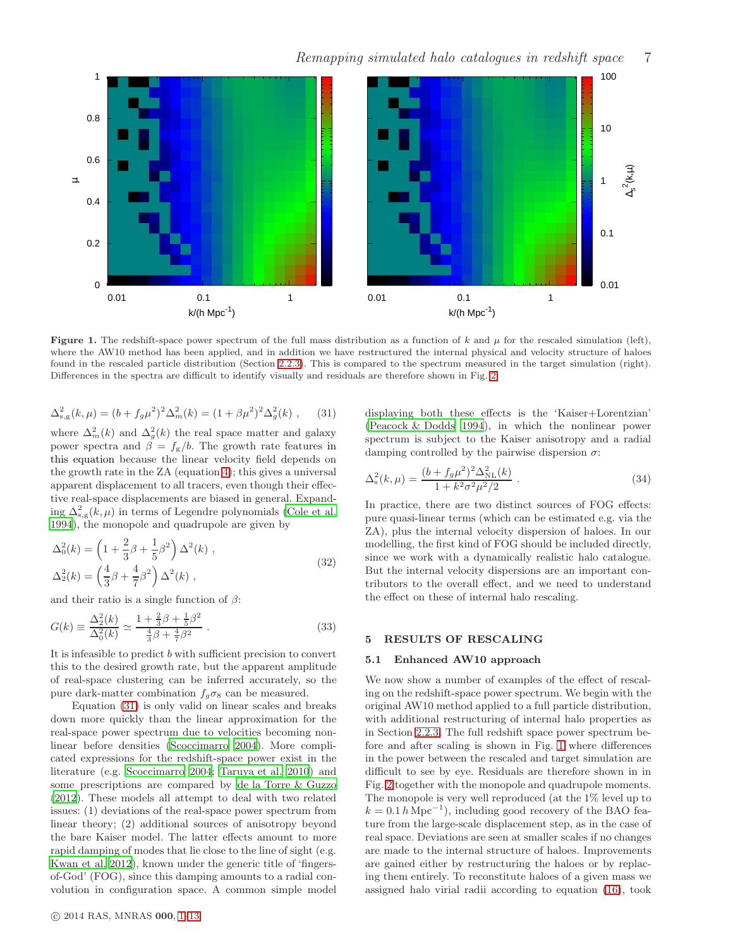<span id="page-6-2"></span>

Figure 1. The redshift-space power spectrum of the full mass distribution as a function of k and  $\mu$  for the rescaled simulation (left), where the AW10 method has been applied, and in addition we have restructured the internal physical and velocity structure of haloes found in the rescaled particle distribution (Section [2.2.3\)](#page-3-3). This is compared to the spectrum measured in the target simulation (right). Differences in the spectra are difficult to identify visually and residuals are therefore shown in Fig. [2.](#page-7-0)

<span id="page-6-1"></span>
$$
\Delta_{\rm s,g}^2(k,\mu) = (b + f_g \mu^2)^2 \Delta_m^2(k) = (1 + \beta \mu^2)^2 \Delta_g^2(k) , \quad (31)
$$

where  $\Delta_m^2(k)$  and  $\Delta_g^2(k)$  the real space matter and galaxy power spectra and  $\beta = f_{g}/b$ . The growth rate features in this equation because the linear velocity field depends on the growth rate in the ZA (equation [4\)](#page-1-1); this gives a universal apparent displacement to all tracers, even though their effective real-space displacements are biased in general. Expanding  $\Delta_{s,g}^2(k,\mu)$  in terms of Legendre polynomials [\(Cole et al.](#page-12-5) [1994](#page-12-5)), the monopole and quadrupole are given by

$$
\Delta_0^2(k) = \left(1 + \frac{2}{3}\beta + \frac{1}{5}\beta^2\right)\Delta^2(k) ,
$$
  

$$
\Delta_2^2(k) = \left(\frac{4}{3}\beta + \frac{4}{7}\beta^2\right)\Delta^2(k) ,
$$
 (32)

and their ratio is a single function of  $\beta$ :

<span id="page-6-3"></span>
$$
G(k) \equiv \frac{\Delta_2^2(k)}{\Delta_0^2(k)} \simeq \frac{1 + \frac{2}{3}\beta + \frac{1}{5}\beta^2}{\frac{4}{3}\beta + \frac{4}{7}\beta^2} \,. \tag{33}
$$

It is infeasible to predict b with sufficient precision to convert this to the desired growth rate, but the apparent amplitude of real-space clustering can be inferred accurately, so the pure dark-matter combination  $f_q \sigma_8$  can be measured.

Equation [\(31\)](#page-6-1) is only valid on linear scales and breaks down more quickly than the linear approximation for the real-space power spectrum due to velocities becoming nonlinear before densities [\(Scoccimarro 2004](#page-13-41)). More complicated expressions for the redshift-space power exist in the literature (e.g. [Scoccimarro 2004;](#page-13-41) [Taruya et al. 2010](#page-13-42)) and some prescriptions are compared by [de la Torre & Guzzo](#page-13-43) [\(2012](#page-13-43)). These models all attempt to deal with two related issues: (1) deviations of the real-space power spectrum from linear theory; (2) additional sources of anisotropy beyond the bare Kaiser model. The latter effects amount to more rapid damping of modes that lie close to the line of sight (e.g. [Kwan et al. 2012](#page-13-44)), known under the generic title of 'fingersof-God' (FOG), since this damping amounts to a radial convolution in configuration space. A common simple model displaying both these effects is the 'Kaiser+Lorentzian' [\(Peacock & Dodds 1994](#page-13-45)), in which the nonlinear power spectrum is subject to the Kaiser anisotropy and a radial damping controlled by the pairwise dispersion  $\sigma$ :

$$
\Delta_{\rm s}^2(k,\mu) = \frac{(b + f_g \mu^2)^2 \Delta_{\rm NL}^2(k)}{1 + k^2 \sigma^2 \mu^2 / 2} \,. \tag{34}
$$

In practice, there are two distinct sources of FOG effects: pure quasi-linear terms (which can be estimated e.g. via the ZA), plus the internal velocity dispersion of haloes. In our modelling, the first kind of FOG should be included directly, since we work with a dynamically realistic halo catalogue. But the internal velocity dispersions are an important contributors to the overall effect, and we need to understand the effect on these of internal halo rescaling.

## <span id="page-6-0"></span>5 RESULTS OF RESCALING

## 5.1 Enhanced AW10 approach

We now show a number of examples of the effect of rescaling on the redshift-space power spectrum. We begin with the original AW10 method applied to a full particle distribution, with additional restructuring of internal halo properties as in Section [2.2.3.](#page-3-3) The full redshift space power spectrum before and after scaling is shown in Fig. [1](#page-6-2) where differences in the power between the rescaled and target simulation are difficult to see by eye. Residuals are therefore shown in in Fig. [2](#page-7-0) together with the monopole and quadrupole moments. The monopole is very well reproduced (at the 1% level up to  $k = 0.1 h \text{ Mpc}^{-1}$ , including good recovery of the BAO feature from the large-scale displacement step, as in the case of real space. Deviations are seen at smaller scales if no changes are made to the internal structure of haloes. Improvements are gained either by restructuring the haloes or by replacing them entirely. To reconstitute haloes of a given mass we assigned halo virial radii according to equation [\(16\)](#page-3-2), took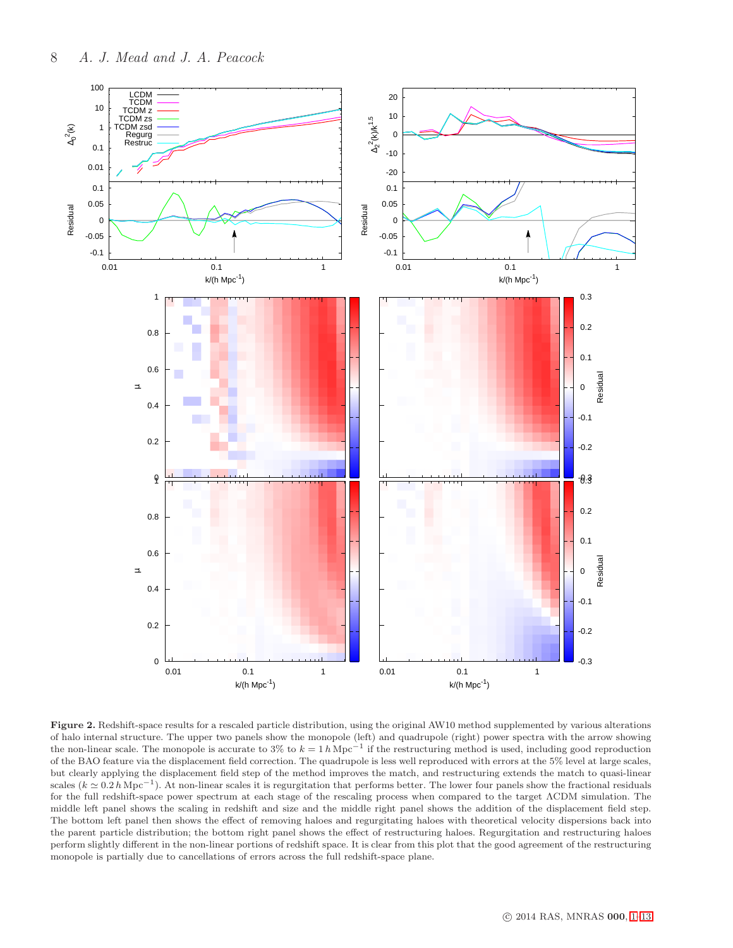<span id="page-7-0"></span>

Figure 2. Redshift-space results for a rescaled particle distribution, using the original AW10 method supplemented by various alterations of halo internal structure. The upper two panels show the monopole (left) and quadrupole (right) power spectra with the arrow showing the non-linear scale. The monopole is accurate to 3% to  $k = 1 h \text{ Mpc}^{-1}$  if the restructuring method is used, including good reproduction of the BAO feature via the displacement field correction. The quadrupole is less well reproduced with errors at the 5% level at large scales, but clearly applying the displacement field step of the method improves the match, and restructuring extends the match to quasi-linear scales ( $k \approx 0.2 h \text{ Mpc}^{-1}$ ). At non-linear scales it is regurgitation that performs better. The lower four panels show the fractional residuals for the full redshift-space power spectrum at each stage of the rescaling process when compared to the target ΛCDM simulation. The middle left panel shows the scaling in redshift and size and the middle right panel shows the addition of the displacement field step. The bottom left panel then shows the effect of removing haloes and regurgitating haloes with theoretical velocity dispersions back into the parent particle distribution; the bottom right panel shows the effect of restructuring haloes. Regurgitation and restructuring haloes perform slightly different in the non-linear portions of redshift space. It is clear from this plot that the good agreement of the restructuring monopole is partially due to cancellations of errors across the full redshift-space plane.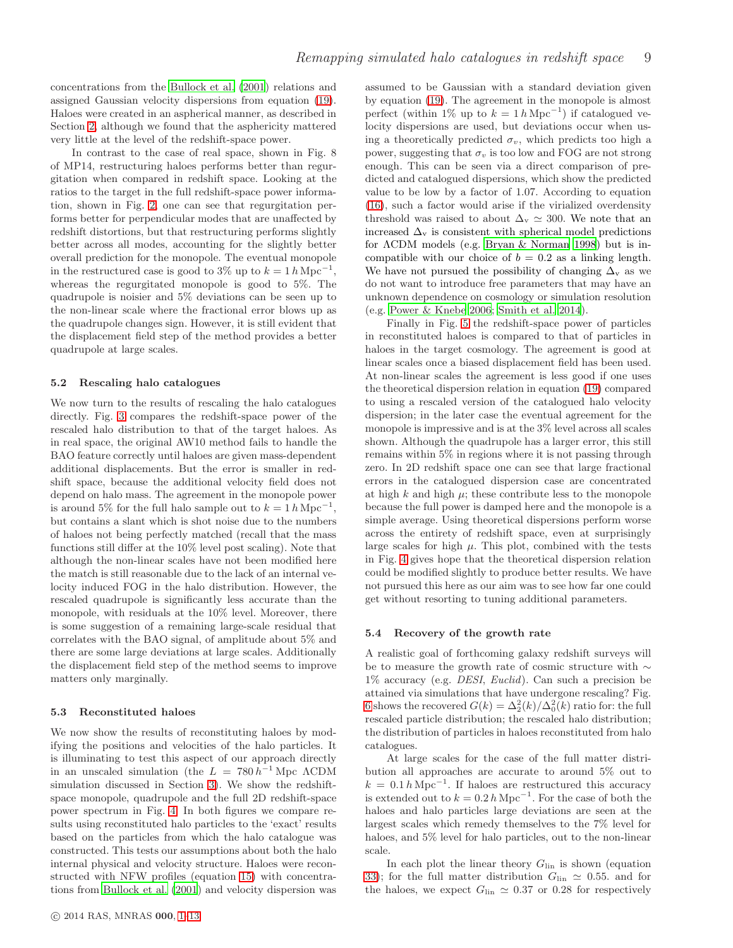concentrations from the [Bullock et al. \(2001](#page-12-3)) relations and assigned Gaussian velocity dispersions from equation [\(19\)](#page-3-1). Haloes were created in an aspherical manner, as described in Section [2,](#page-1-0) although we found that the asphericity mattered very little at the level of the redshift-space power.

In contrast to the case of real space, shown in Fig. 8 of MP14, restructuring haloes performs better than regurgitation when compared in redshift space. Looking at the ratios to the target in the full redshift-space power information, shown in Fig. [2,](#page-7-0) one can see that regurgitation performs better for perpendicular modes that are unaffected by redshift distortions, but that restructuring performs slightly better across all modes, accounting for the slightly better overall prediction for the monopole. The eventual monopole in the restructured case is good to 3% up to  $k = 1 h \text{ Mpc}^{-1}$ , whereas the regurgitated monopole is good to 5%. The quadrupole is noisier and 5% deviations can be seen up to the non-linear scale where the fractional error blows up as the quadrupole changes sign. However, it is still evident that the displacement field step of the method provides a better quadrupole at large scales.

## 5.2 Rescaling halo catalogues

We now turn to the results of rescaling the halo catalogues directly. Fig. [3](#page-9-0) compares the redshift-space power of the rescaled halo distribution to that of the target haloes. As in real space, the original AW10 method fails to handle the BAO feature correctly until haloes are given mass-dependent additional displacements. But the error is smaller in redshift space, because the additional velocity field does not depend on halo mass. The agreement in the monopole power is around 5% for the full halo sample out to  $k = 1 h \text{ Mpc}^{-1}$ , but contains a slant which is shot noise due to the numbers of haloes not being perfectly matched (recall that the mass functions still differ at the 10% level post scaling). Note that although the non-linear scales have not been modified here the match is still reasonable due to the lack of an internal velocity induced FOG in the halo distribution. However, the rescaled quadrupole is significantly less accurate than the monopole, with residuals at the 10% level. Moreover, there is some suggestion of a remaining large-scale residual that correlates with the BAO signal, of amplitude about 5% and there are some large deviations at large scales. Additionally the displacement field step of the method seems to improve matters only marginally.

#### 5.3 Reconstituted haloes

We now show the results of reconstituting haloes by modifying the positions and velocities of the halo particles. It is illuminating to test this aspect of our approach directly in an unscaled simulation (the  $L = 780 h^{-1}$  Mpc  $\Lambda$ CDM simulation discussed in Section [3\)](#page-4-0). We show the redshiftspace monopole, quadrupole and the full 2D redshift-space power spectrum in Fig. [4.](#page-10-1) In both figures we compare results using reconstituted halo particles to the 'exact' results based on the particles from which the halo catalogue was constructed. This tests our assumptions about both the halo internal physical and velocity structure. Haloes were reconstructed with NFW profiles (equation [15\)](#page-2-3) with concentrations from [Bullock et al. \(2001](#page-12-3)) and velocity dispersion was assumed to be Gaussian with a standard deviation given by equation [\(19\)](#page-3-1). The agreement in the monopole is almost perfect (within 1% up to  $k = 1 h \text{ Mpc}^{-1}$ ) if catalogued velocity dispersions are used, but deviations occur when using a theoretically predicted  $\sigma_v$ , which predicts too high a power, suggesting that  $\sigma_v$  is too low and FOG are not strong enough. This can be seen via a direct comparison of predicted and catalogued dispersions, which show the predicted value to be low by a factor of 1.07. According to equation [\(16\)](#page-3-2), such a factor would arise if the virialized overdensity threshold was raised to about  $\Delta_{\rm v} \simeq 300$ . We note that an increased  $\Delta_{\rm v}$  is consistent with spherical model predictions for ΛCDM models (e.g. [Bryan & Norman 1998](#page-12-6)) but is incompatible with our choice of  $b = 0.2$  as a linking length. We have not pursued the possibility of changing  $\Delta_{\rm v}$  as we do not want to introduce free parameters that may have an unknown dependence on cosmology or simulation resolution (e.g. [Power & Knebe 2006;](#page-13-46) [Smith et al. 2014](#page-13-47)).

Finally in Fig. [5](#page-11-0) the redshift-space power of particles in reconstituted haloes is compared to that of particles in haloes in the target cosmology. The agreement is good at linear scales once a biased displacement field has been used. At non-linear scales the agreement is less good if one uses the theoretical dispersion relation in equation [\(19\)](#page-3-1) compared to using a rescaled version of the catalogued halo velocity dispersion; in the later case the eventual agreement for the monopole is impressive and is at the 3% level across all scales shown. Although the quadrupole has a larger error, this still remains within 5% in regions where it is not passing through zero. In 2D redshift space one can see that large fractional errors in the catalogued dispersion case are concentrated at high  $k$  and high  $\mu$ ; these contribute less to the monopole because the full power is damped here and the monopole is a simple average. Using theoretical dispersions perform worse across the entirety of redshift space, even at surprisingly large scales for high  $\mu$ . This plot, combined with the tests in Fig. [4](#page-10-1) gives hope that the theoretical dispersion relation could be modified slightly to produce better results. We have not pursued this here as our aim was to see how far one could get without resorting to tuning additional parameters.

#### 5.4 Recovery of the growth rate

A realistic goal of forthcoming galaxy redshift surveys will be to measure the growth rate of cosmic structure with ∼  $1\%$  accuracy (e.g. *DESI*, *Euclid*). Can such a precision be attained via simulations that have undergone rescaling? Fig. [6](#page-12-7) shows the recovered  $G(k) = \Delta_2^2(k)/\Delta_0^2(k)$  ratio for: the full rescaled particle distribution; the rescaled halo distribution; the distribution of particles in haloes reconstituted from halo catalogues.

At large scales for the case of the full matter distribution all approaches are accurate to around 5% out to  $k = 0.1 h \text{ Mpc}^{-1}$ . If haloes are restructured this accuracy is extended out to  $k = 0.2 h \text{ Mpc}^{-1}$ . For the case of both the haloes and halo particles large deviations are seen at the largest scales which remedy themselves to the 7% level for haloes, and 5% level for halo particles, out to the non-linear scale.

In each plot the linear theory  $G_{lin}$  is shown (equation [33\)](#page-6-3); for the full matter distribution  $G_{lin} \simeq 0.55$ . and for the haloes, we expect  $G_{lin} \simeq 0.37$  or 0.28 for respectively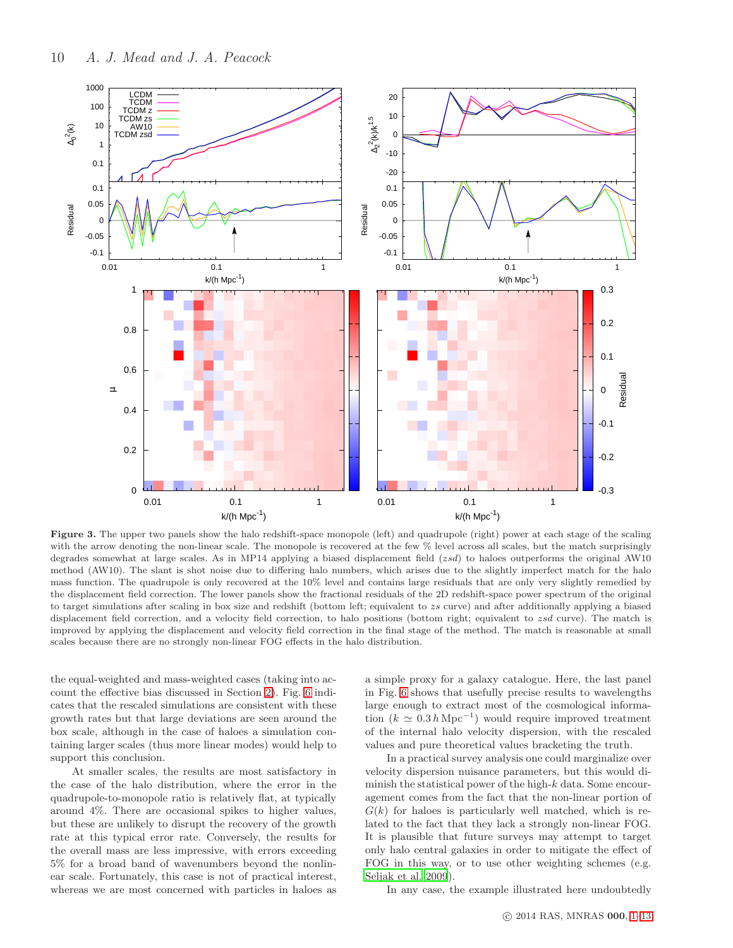<span id="page-9-0"></span>

Figure 3. The upper two panels show the halo redshift-space monopole (left) and quadrupole (right) power at each stage of the scaling with the arrow denoting the non-linear scale. The monopole is recovered at the few % level across all scales, but the match surprisingly degrades somewhat at large scales. As in MP14 applying a biased displacement field (zsd) to haloes outperforms the original AW10 method (AW10). The slant is shot noise due to differing halo numbers, which arises due to the slightly imperfect match for the halo mass function. The quadrupole is only recovered at the 10% level and contains large residuals that are only very slightly remedied by the displacement field correction. The lower panels show the fractional residuals of the 2D redshift-space power spectrum of the original to target simulations after scaling in box size and redshift (bottom left; equivalent to zs curve) and after additionally applying a biased displacement field correction, and a velocity field correction, to halo positions (bottom right; equivalent to zsd curve). The match is improved by applying the displacement and velocity field correction in the final stage of the method. The match is reasonable at small scales because there are no strongly non-linear FOG effects in the halo distribution.

the equal-weighted and mass-weighted cases (taking into account the effective bias discussed in Section [2\)](#page-1-0). Fig. [6](#page-12-7) indicates that the rescaled simulations are consistent with these growth rates but that large deviations are seen around the box scale, although in the case of haloes a simulation containing larger scales (thus more linear modes) would help to support this conclusion.

At smaller scales, the results are most satisfactory in the case of the halo distribution, where the error in the quadrupole-to-monopole ratio is relatively flat, at typically around 4%. There are occasional spikes to higher values, but these are unlikely to disrupt the recovery of the growth rate at this typical error rate. Conversely, the results for the overall mass are less impressive, with errors exceeding 5% for a broad band of wavenumbers beyond the nonlinear scale. Fortunately, this case is not of practical interest, whereas we are most concerned with particles in haloes as a simple proxy for a galaxy catalogue. Here, the last panel in Fig. [6](#page-12-7) shows that usefully precise results to wavelengths large enough to extract most of the cosmological information  $(k \simeq 0.3 h \text{ Mpc}^{-1})$  would require improved treatment of the internal halo velocity dispersion, with the rescaled values and pure theoretical values bracketing the truth.

In a practical survey analysis one could marginalize over velocity dispersion nuisance parameters, but this would diminish the statistical power of the high- $k$  data. Some encouragement comes from the fact that the non-linear portion of  $G(k)$  for haloes is particularly well matched, which is related to the fact that they lack a strongly non-linear FOG. It is plausible that future surveys may attempt to target only halo central galaxies in order to mitigate the effect of FOG in this way, or to use other weighting schemes (e.g. [Seljak et al. 2009](#page-13-48)).

In any case, the example illustrated here undoubtedly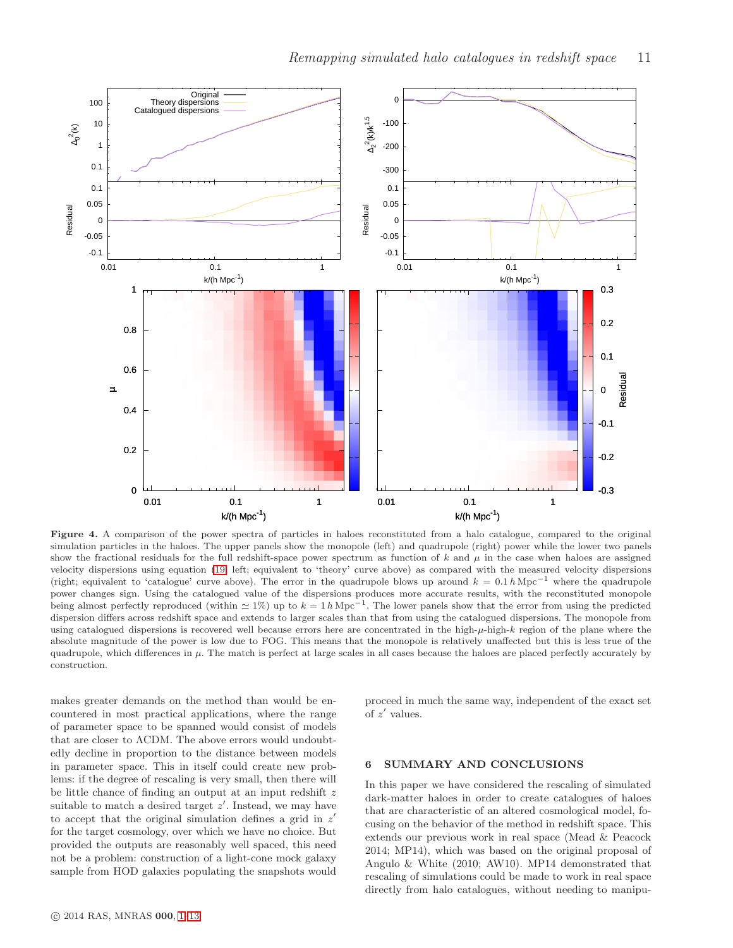<span id="page-10-1"></span>

Figure 4. A comparison of the power spectra of particles in haloes reconstituted from a halo catalogue, compared to the original simulation particles in the haloes. The upper panels show the monopole (left) and quadrupole (right) power while the lower two panels show the fractional residuals for the full redshift-space power spectrum as function of  $k$  and  $\mu$  in the case when haloes are assigned velocity dispersions using equation [\(19;](#page-3-1) left; equivalent to 'theory' curve above) as compared with the measured velocity dispersions (right; equivalent to 'catalogue' curve above). The error in the quadrupole blows up around  $k = 0.1 h\,\mathrm{Mpc}^{-1}$  where the quadrupole power changes sign. Using the catalogued value of the dispersions produces more accurate results, with the reconstituted monopole being almost perfectly reproduced (within  $\simeq 1\%)$  up to  $k = 1 h \text{ Mpc}^{-1}$ . The lower panels show that the error from using the predicted dispersion differs across redshift space and extends to larger scales than that from using the catalogued dispersions. The monopole from using catalogued dispersions is recovered well because errors here are concentrated in the high- $\mu$ -high- $k$  region of the plane where the absolute magnitude of the power is low due to FOG. This means that the monopole is relatively unaffected but this is less true of the quadrupole, which differences in  $\mu$ . The match is perfect at large scales in all cases because the haloes are placed perfectly accurately by construction.

makes greater demands on the method than would be encountered in most practical applications, where the range of parameter space to be spanned would consist of models that are closer to ΛCDM. The above errors would undoubtedly decline in proportion to the distance between models in parameter space. This in itself could create new problems: if the degree of rescaling is very small, then there will be little chance of finding an output at an input redshift z suitable to match a desired target  $z'$ . Instead, we may have to accept that the original simulation defines a grid in  $z'$ for the target cosmology, over which we have no choice. But provided the outputs are reasonably well spaced, this need not be a problem: construction of a light-cone mock galaxy sample from HOD galaxies populating the snapshots would proceed in much the same way, independent of the exact set of z ′ values.

# <span id="page-10-0"></span>6 SUMMARY AND CONCLUSIONS

In this paper we have considered the rescaling of simulated dark-matter haloes in order to create catalogues of haloes that are characteristic of an altered cosmological model, focusing on the behavior of the method in redshift space. This extends our previous work in real space (Mead & Peacock 2014; MP14), which was based on the original proposal of Angulo & White (2010; AW10). MP14 demonstrated that rescaling of simulations could be made to work in real space directly from halo catalogues, without needing to manipu-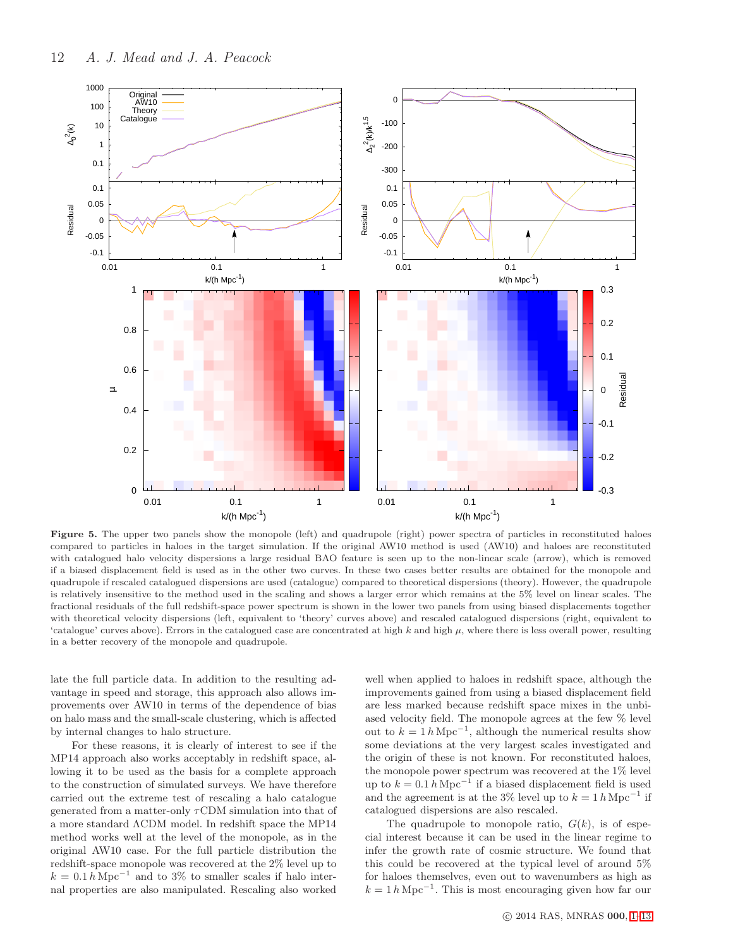<span id="page-11-0"></span>

Figure 5. The upper two panels show the monopole (left) and quadrupole (right) power spectra of particles in reconstituted haloes compared to particles in haloes in the target simulation. If the original AW10 method is used (AW10) and haloes are reconstituted with catalogued halo velocity dispersions a large residual BAO feature is seen up to the non-linear scale (arrow), which is removed if a biased displacement field is used as in the other two curves. In these two cases better results are obtained for the monopole and quadrupole if rescaled catalogued dispersions are used (catalogue) compared to theoretical dispersions (theory). However, the quadrupole is relatively insensitive to the method used in the scaling and shows a larger error which remains at the 5% level on linear scales. The fractional residuals of the full redshift-space power spectrum is shown in the lower two panels from using biased displacements together with theoretical velocity dispersions (left, equivalent to 'theory' curves above) and rescaled catalogued dispersions (right, equivalent to 'catalogue' curves above). Errors in the catalogued case are concentrated at high  $k$  and high  $\mu$ , where there is less overall power, resulting in a better recovery of the monopole and quadrupole.

late the full particle data. In addition to the resulting advantage in speed and storage, this approach also allows improvements over AW10 in terms of the dependence of bias on halo mass and the small-scale clustering, which is affected by internal changes to halo structure.

For these reasons, it is clearly of interest to see if the MP14 approach also works acceptably in redshift space, allowing it to be used as the basis for a complete approach to the construction of simulated surveys. We have therefore carried out the extreme test of rescaling a halo catalogue generated from a matter-only  $\tau$ CDM simulation into that of a more standard ΛCDM model. In redshift space the MP14 method works well at the level of the monopole, as in the original AW10 case. For the full particle distribution the redshift-space monopole was recovered at the 2% level up to  $k = 0.1 h \text{ Mpc}^{-1}$  and to 3% to smaller scales if halo internal properties are also manipulated. Rescaling also worked well when applied to haloes in redshift space, although the improvements gained from using a biased displacement field are less marked because redshift space mixes in the unbiased velocity field. The monopole agrees at the few % level out to  $k = 1 h \text{ Mpc}^{-1}$ , although the numerical results show some deviations at the very largest scales investigated and the origin of these is not known. For reconstituted haloes, the monopole power spectrum was recovered at the 1% level up to  $k = 0.1 h \text{ Mpc}^{-1}$  if a biased displacement field is used and the agreement is at the 3% level up to  $k = 1 h \text{ Mpc}^{-1}$  if catalogued dispersions are also rescaled.

The quadrupole to monopole ratio,  $G(k)$ , is of especial interest because it can be used in the linear regime to infer the growth rate of cosmic structure. We found that this could be recovered at the typical level of around 5% for haloes themselves, even out to wavenumbers as high as  $k = 1 h \text{ Mpc}^{-1}$ . This is most encouraging given how far our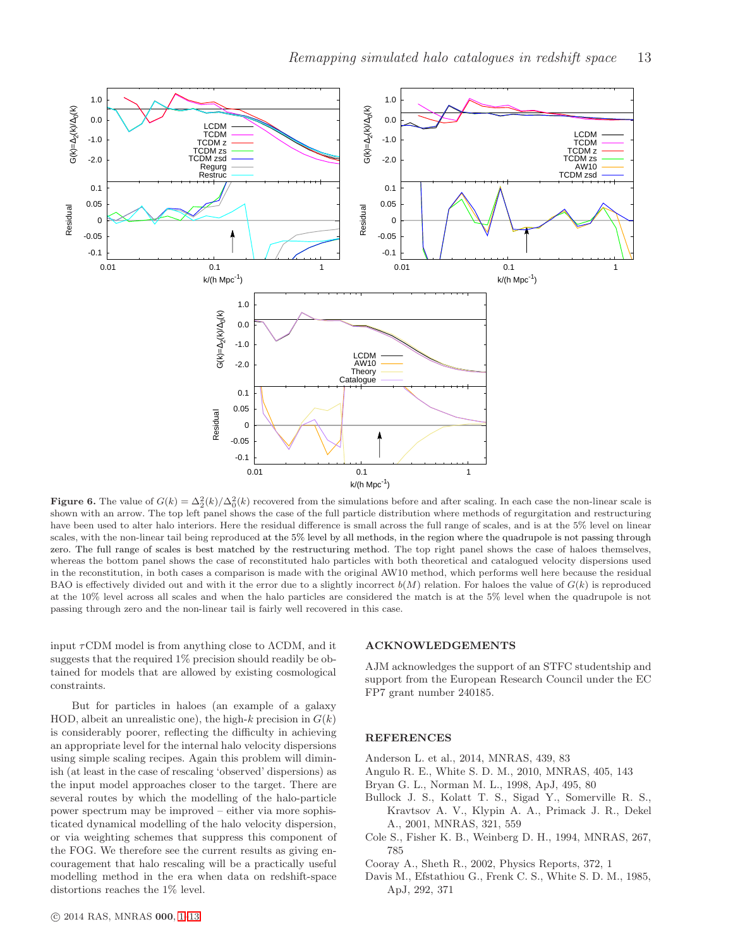<span id="page-12-7"></span>

**Figure 6.** The value of  $G(k) = \Delta_2^2(k)/\Delta_0^2(k)$  recovered from the simulations before and after scaling. In each case the non-linear scale is shown with an arrow. The top left panel shows the case of the full particle distribution where methods of regurgitation and restructuring have been used to alter halo interiors. Here the residual difference is small across the full range of scales, and is at the 5% level on linear scales, with the non-linear tail being reproduced at the 5% level by all methods, in the region where the quadrupole is not passing through zero. The full range of scales is best matched by the restructuring method. The top right panel shows the case of haloes themselves, whereas the bottom panel shows the case of reconstituted halo particles with both theoretical and catalogued velocity dispersions used in the reconstitution, in both cases a comparison is made with the original AW10 method, which performs well here because the residual BAO is effectively divided out and with it the error due to a slightly incorrect  $b(M)$  relation. For haloes the value of  $G(k)$  is reproduced at the 10% level across all scales and when the halo particles are considered the match is at the 5% level when the quadrupole is not passing through zero and the non-linear tail is fairly well recovered in this case.

input  $\tau$ CDM model is from anything close to  $\Lambda$ CDM, and it suggests that the required 1% precision should readily be obtained for models that are allowed by existing cosmological constraints.

But for particles in haloes (an example of a galaxy HOD, albeit an unrealistic one), the high-k precision in  $G(k)$ is considerably poorer, reflecting the difficulty in achieving an appropriate level for the internal halo velocity dispersions using simple scaling recipes. Again this problem will diminish (at least in the case of rescaling 'observed' dispersions) as the input model approaches closer to the target. There are several routes by which the modelling of the halo-particle power spectrum may be improved – either via more sophisticated dynamical modelling of the halo velocity dispersion, or via weighting schemes that suppress this component of the FOG. We therefore see the current results as giving encouragement that halo rescaling will be a practically useful modelling method in the era when data on redshift-space distortions reaches the 1% level.

## ACKNOWLEDGEMENTS

AJM acknowledges the support of an STFC studentship and support from the European Research Council under the EC FP7 grant number 240185.

## REFERENCES

- <span id="page-12-0"></span>Anderson L. et al., 2014, MNRAS, 439, 83
- <span id="page-12-1"></span>Angulo R. E., White S. D. M., 2010, MNRAS, 405, 143
- <span id="page-12-6"></span>Bryan G. L., Norman M. L., 1998, ApJ, 495, 80
- <span id="page-12-3"></span>Bullock J. S., Kolatt T. S., Sigad Y., Somerville R. S., Kravtsov A. V., Klypin A. A., Primack J. R., Dekel A., 2001, MNRAS, 321, 559
- <span id="page-12-5"></span>Cole S., Fisher K. B., Weinberg D. H., 1994, MNRAS, 267, 785
- <span id="page-12-2"></span>Cooray A., Sheth R., 2002, Physics Reports, 372, 1
- <span id="page-12-4"></span>Davis M., Efstathiou G., Frenk C. S., White S. D. M., 1985, ApJ, 292, 371